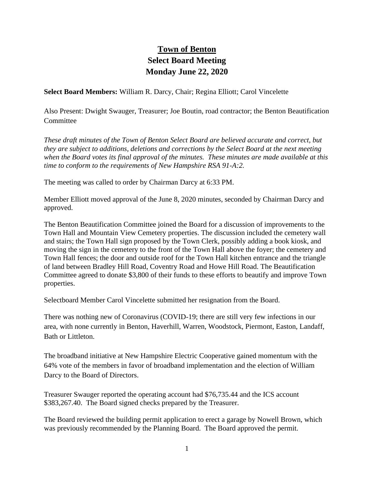## **Town of Benton Select Board Meeting Monday June 22, 2020**

**Select Board Members:** William R. Darcy, Chair; Regina Elliott; Carol Vincelette

Also Present: Dwight Swauger, Treasurer; Joe Boutin, road contractor; the Benton Beautification **Committee** 

*These draft minutes of the Town of Benton Select Board are believed accurate and correct, but they are subject to additions, deletions and corrections by the Select Board at the next meeting when the Board votes its final approval of the minutes. These minutes are made available at this time to conform to the requirements of New Hampshire RSA 91-A:2.*

The meeting was called to order by Chairman Darcy at 6:33 PM.

Member Elliott moved approval of the June 8, 2020 minutes, seconded by Chairman Darcy and approved.

The Benton Beautification Committee joined the Board for a discussion of improvements to the Town Hall and Mountain View Cemetery properties. The discussion included the cemetery wall and stairs; the Town Hall sign proposed by the Town Clerk, possibly adding a book kiosk, and moving the sign in the cemetery to the front of the Town Hall above the foyer; the cemetery and Town Hall fences; the door and outside roof for the Town Hall kitchen entrance and the triangle of land between Bradley Hill Road, Coventry Road and Howe Hill Road. The Beautification Committee agreed to donate \$3,800 of their funds to these efforts to beautify and improve Town properties.

Selectboard Member Carol Vincelette submitted her resignation from the Board.

There was nothing new of Coronavirus (COVID-19; there are still very few infections in our area, with none currently in Benton, Haverhill, Warren, Woodstock, Piermont, Easton, Landaff, Bath or Littleton.

The broadband initiative at New Hampshire Electric Cooperative gained momentum with the 64% vote of the members in favor of broadband implementation and the election of William Darcy to the Board of Directors.

Treasurer Swauger reported the operating account had \$76,735.44 and the ICS account \$383,267.40. The Board signed checks prepared by the Treasurer.

The Board reviewed the building permit application to erect a garage by Nowell Brown, which was previously recommended by the Planning Board. The Board approved the permit.